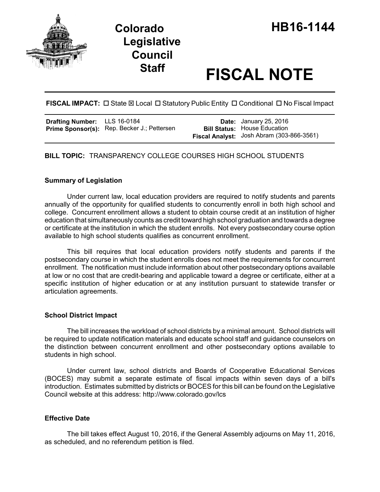

# **Staff FISCAL NOTE**

**FISCAL IMPACT:**  $\Box$  State  $\boxtimes$  Local  $\Box$  Statutory Public Entity  $\Box$  Conditional  $\Box$  No Fiscal Impact

| <b>Drafting Number:</b> LLS 16-0184 |                                                    | <b>Date:</b> January 25, 2016             |
|-------------------------------------|----------------------------------------------------|-------------------------------------------|
|                                     | <b>Prime Sponsor(s):</b> Rep. Becker J.; Pettersen | <b>Bill Status: House Education</b>       |
|                                     |                                                    | Fiscal Analyst: Josh Abram (303-866-3561) |

**BILL TOPIC:** TRANSPARENCY COLLEGE COURSES HIGH SCHOOL STUDENTS

## **Summary of Legislation**

Under current law, local education providers are required to notify students and parents annually of the opportunity for qualified students to concurrently enroll in both high school and college. Concurrent enrollment allows a student to obtain course credit at an institution of higher education that simultaneously counts as credit toward high school graduation and towards a degree or certificate at the institution in which the student enrolls. Not every postsecondary course option available to high school students qualifies as concurrent enrollment.

This bill requires that local education providers notify students and parents if the postsecondary course in which the student enrolls does not meet the requirements for concurrent enrollment. The notification must include information about other postsecondary options available at low or no cost that are credit-bearing and applicable toward a degree or certificate, either at a specific institution of higher education or at any institution pursuant to statewide transfer or articulation agreements.

#### **School District Impact**

The bill increases the workload of school districts by a minimal amount. School districts will be required to update notification materials and educate school staff and guidance counselors on the distinction between concurrent enrollment and other postsecondary options available to students in high school.

Under current law, school districts and Boards of Cooperative Educational Services (BOCES) may submit a separate estimate of fiscal impacts within seven days of a bill's introduction. Estimates submitted by districts or BOCES for this bill can be found on the Legislative Council website at this address: http://www.colorado.gov/lcs

# **Effective Date**

The bill takes effect August 10, 2016, if the General Assembly adjourns on May 11, 2016, as scheduled, and no referendum petition is filed.